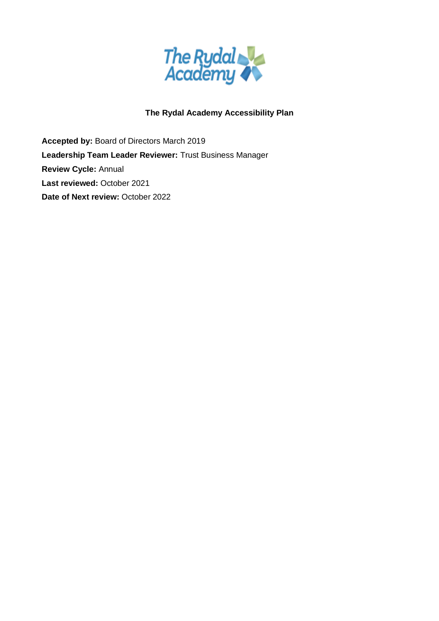

# **The Rydal Academy Accessibility Plan**

**Accepted by:** Board of Directors March 2019 **Leadership Team Leader Reviewer:** Trust Business Manager **Review Cycle:** Annual **Last reviewed:** October 2021 **Date of Next review:** October 2022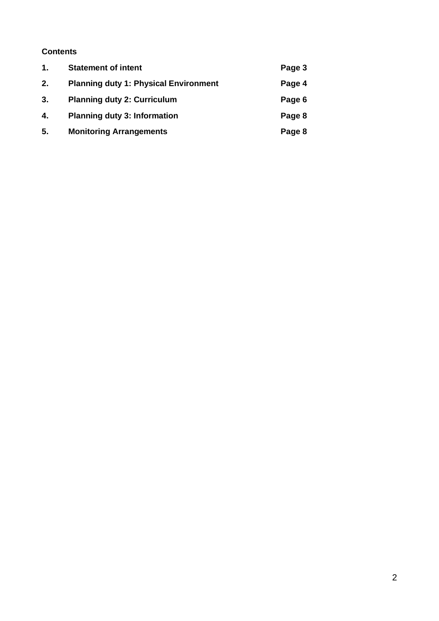### **Contents**

| $\mathbf{1}$ . | <b>Statement of intent</b>                   | Page 3 |
|----------------|----------------------------------------------|--------|
| 2.             | <b>Planning duty 1: Physical Environment</b> | Page 4 |
| 3.             | <b>Planning duty 2: Curriculum</b>           | Page 6 |
| 4.             | <b>Planning duty 3: Information</b>          | Page 8 |
| 5.             | <b>Monitoring Arrangements</b>               | Page 8 |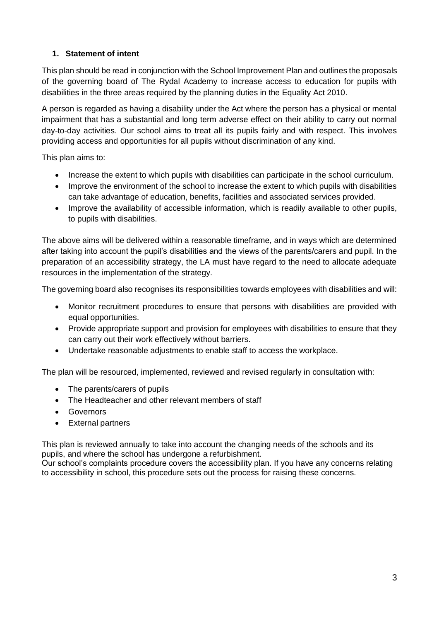### **1. Statement of intent**

This plan should be read in conjunction with the School Improvement Plan and outlines the proposals of the governing board of The Rydal Academy to increase access to education for pupils with disabilities in the three areas required by the planning duties in the Equality Act 2010.

A person is regarded as having a disability under the Act where the person has a physical or mental impairment that has a substantial and long term adverse effect on their ability to carry out normal day-to-day activities. Our school aims to treat all its pupils fairly and with respect. This involves providing access and opportunities for all pupils without discrimination of any kind.

This plan aims to:

- Increase the extent to which pupils with disabilities can participate in the school curriculum.
- Improve the environment of the school to increase the extent to which pupils with disabilities can take advantage of education, benefits, facilities and associated services provided.
- Improve the availability of accessible information, which is readily available to other pupils, to pupils with disabilities.

The above aims will be delivered within a reasonable timeframe, and in ways which are determined after taking into account the pupil's disabilities and the views of the parents/carers and pupil. In the preparation of an accessibility strategy, the LA must have regard to the need to allocate adequate resources in the implementation of the strategy.

The governing board also recognises its responsibilities towards employees with disabilities and will:

- Monitor recruitment procedures to ensure that persons with disabilities are provided with equal opportunities.
- Provide appropriate support and provision for employees with disabilities to ensure that they can carry out their work effectively without barriers.
- Undertake reasonable adjustments to enable staff to access the workplace.

The plan will be resourced, implemented, reviewed and revised regularly in consultation with:

- The parents/carers of pupils
- The Headteacher and other relevant members of staff
- Governors
- External partners

This plan is reviewed annually to take into account the changing needs of the schools and its pupils, and where the school has undergone a refurbishment.

Our school's complaints procedure covers the accessibility plan. If you have any concerns relating to accessibility in school, this procedure sets out the process for raising these concerns.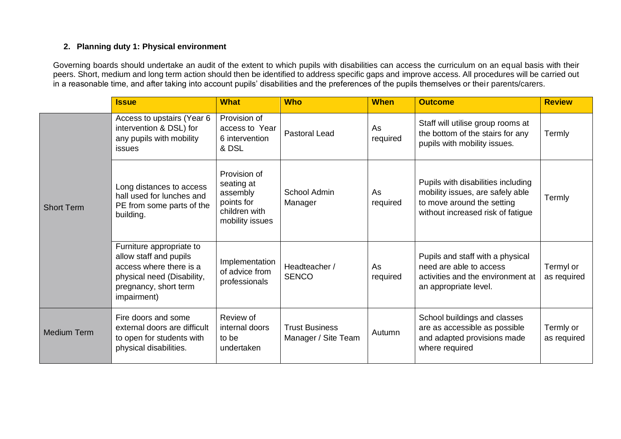#### **2. Planning duty 1: Physical environment**

Governing boards should undertake an audit of the extent to which pupils with disabilities can access the curriculum on an equal basis with their peers. Short, medium and long term action should then be identified to address specific gaps and improve access. All procedures will be carried out in a reasonable time, and after taking into account pupils' disabilities and the preferences of the pupils themselves or their parents/carers.

|                    | <b>Issue</b>                                                                                                                                        | <b>What</b>                                                                              | <b>Who</b>                                   | <b>When</b>    | <b>Outcome</b>                                                                                                                            | <b>Review</b>            |
|--------------------|-----------------------------------------------------------------------------------------------------------------------------------------------------|------------------------------------------------------------------------------------------|----------------------------------------------|----------------|-------------------------------------------------------------------------------------------------------------------------------------------|--------------------------|
| <b>Short Term</b>  | Access to upstairs (Year 6<br>intervention & DSL) for<br>any pupils with mobility<br>issues                                                         | Provision of<br>access to Year<br>6 intervention<br>& DSL                                | <b>Pastoral Lead</b>                         | As<br>required | Staff will utilise group rooms at<br>the bottom of the stairs for any<br>pupils with mobility issues.                                     | Termly                   |
|                    | Long distances to access<br>hall used for lunches and<br>PE from some parts of the<br>building.                                                     | Provision of<br>seating at<br>assembly<br>points for<br>children with<br>mobility issues | School Admin<br>Manager                      | As<br>required | Pupils with disabilities including<br>mobility issues, are safely able<br>to move around the setting<br>without increased risk of fatigue | Termly                   |
|                    | Furniture appropriate to<br>allow staff and pupils<br>access where there is a<br>physical need (Disability,<br>pregnancy, short term<br>impairment) | Implementation<br>of advice from<br>professionals                                        | Headteacher /<br><b>SENCO</b>                | As<br>required | Pupils and staff with a physical<br>need are able to access<br>activities and the environment at<br>an appropriate level.                 | Termyl or<br>as required |
| <b>Medium Term</b> | Fire doors and some<br>external doors are difficult<br>to open for students with<br>physical disabilities.                                          | Review of<br>internal doors<br>to be<br>undertaken                                       | <b>Trust Business</b><br>Manager / Site Team | Autumn         | School buildings and classes<br>are as accessible as possible<br>and adapted provisions made<br>where required                            | Termly or<br>as required |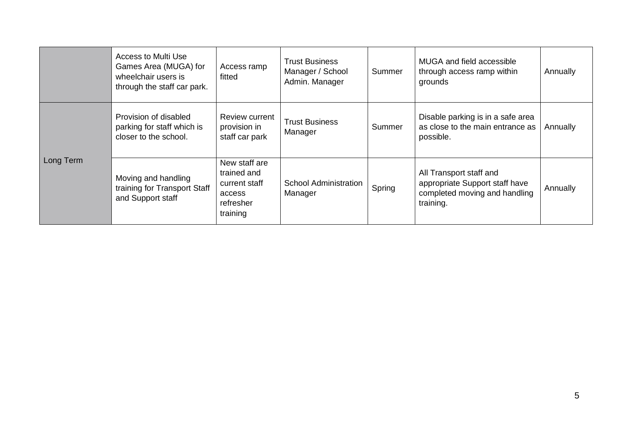|           | Access to Multi Use<br>Games Area (MUGA) for<br>wheelchair users is<br>through the staff car park. | Access ramp<br>fitted                                                            | <b>Trust Business</b><br>Manager / School<br>Admin. Manager | Summer | MUGA and field accessible<br>through access ramp within<br>grounds                                      | Annually |
|-----------|----------------------------------------------------------------------------------------------------|----------------------------------------------------------------------------------|-------------------------------------------------------------|--------|---------------------------------------------------------------------------------------------------------|----------|
| Long Term | Provision of disabled<br>parking for staff which is<br>closer to the school.                       | Review current<br>provision in<br>staff car park                                 | <b>Trust Business</b><br>Manager                            | Summer | Disable parking is in a safe area<br>as close to the main entrance as<br>possible.                      | Annually |
|           | Moving and handling<br>training for Transport Staff<br>and Support staff                           | New staff are<br>trained and<br>current staff<br>access<br>refresher<br>training | <b>School Administration</b><br>Manager                     | Spring | All Transport staff and<br>appropriate Support staff have<br>completed moving and handling<br>training. | Annually |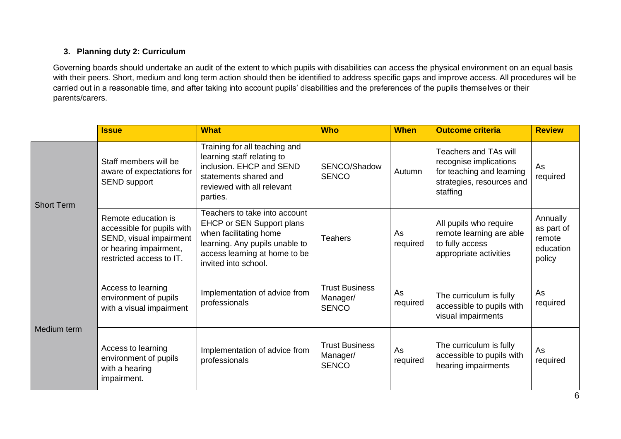### **3. Planning duty 2: Curriculum**

Governing boards should undertake an audit of the extent to which pupils with disabilities can access the physical environment on an equal basis with their peers. Short, medium and long term action should then be identified to address specific gaps and improve access. All procedures will be carried out in a reasonable time, and after taking into account pupils' disabilities and the preferences of the pupils themselves or their parents/carers.

|                   | <b>Issue</b>                                                                                                                       | <b>What</b>                                                                                                                                                                     | <b>Who</b>                                        | <b>When</b>    | <b>Outcome criteria</b>                                                                                               | <b>Review</b>                                           |
|-------------------|------------------------------------------------------------------------------------------------------------------------------------|---------------------------------------------------------------------------------------------------------------------------------------------------------------------------------|---------------------------------------------------|----------------|-----------------------------------------------------------------------------------------------------------------------|---------------------------------------------------------|
| <b>Short Term</b> | Staff members will be<br>aware of expectations for<br><b>SEND support</b>                                                          | Training for all teaching and<br>learning staff relating to<br>inclusion. EHCP and SEND<br>statements shared and<br>reviewed with all relevant<br>parties.                      | SENCO/Shadow<br><b>SENCO</b>                      | Autumn         | Teachers and TAs will<br>recognise implications<br>for teaching and learning<br>strategies, resources and<br>staffing | As<br>required                                          |
|                   | Remote education is<br>accessible for pupils with<br>SEND, visual impairment<br>or hearing impairment,<br>restricted access to IT. | Teachers to take into account<br>EHCP or SEN Support plans<br>when facilitating home<br>learning. Any pupils unable to<br>access learning at home to be<br>invited into school. | <b>Teahers</b>                                    | As<br>required | All pupils who require<br>remote learning are able<br>to fully access<br>appropriate activities                       | Annually<br>as part of<br>remote<br>education<br>policy |
| Medium term       | Access to learning<br>environment of pupils<br>with a visual impairment                                                            | Implementation of advice from<br>professionals                                                                                                                                  | <b>Trust Business</b><br>Manager/<br><b>SENCO</b> | As<br>required | The curriculum is fully<br>accessible to pupils with<br>visual impairments                                            | As<br>required                                          |
|                   | Access to learning<br>environment of pupils<br>with a hearing<br>impairment.                                                       | Implementation of advice from<br>professionals                                                                                                                                  | <b>Trust Business</b><br>Manager/<br><b>SENCO</b> | As<br>required | The curriculum is fully<br>accessible to pupils with<br>hearing impairments                                           | As<br>required                                          |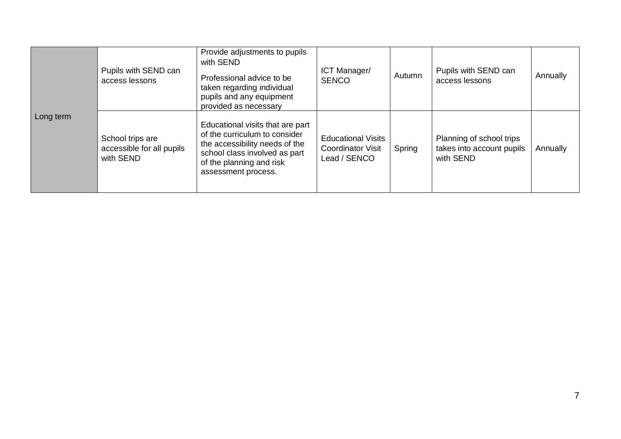| Long term | Pupils with SEND can<br>access lessons                     | Provide adjustments to pupils<br>with SEND<br>Professional advice to be<br>taken regarding individual<br>pupils and any equipment<br>provided as necessary                              | ICT Manager/<br><b>SENCO</b>                                          | Autumn | Pupils with SEND can<br>access lessons                             | Annually |
|-----------|------------------------------------------------------------|-----------------------------------------------------------------------------------------------------------------------------------------------------------------------------------------|-----------------------------------------------------------------------|--------|--------------------------------------------------------------------|----------|
|           | School trips are<br>accessible for all pupils<br>with SEND | Educational visits that are part<br>of the curriculum to consider<br>the accessibility needs of the<br>school class involved as part<br>of the planning and risk<br>assessment process. | <b>Educational Visits</b><br><b>Coordinator Visit</b><br>Lead / SENCO | Spring | Planning of school trips<br>takes into account pupils<br>with SEND | Annually |